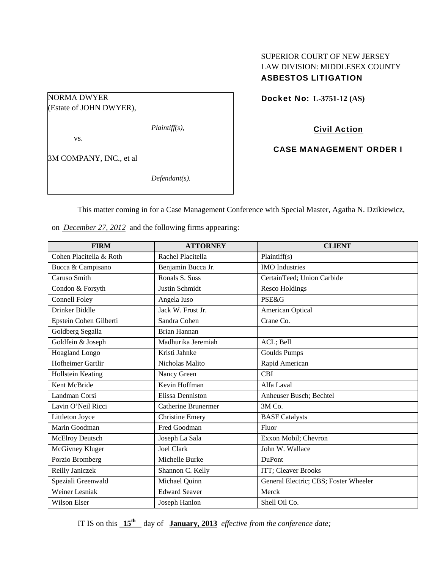# SUPERIOR COURT OF NEW JERSEY LAW DIVISION: MIDDLESEX COUNTY ASBESTOS LITIGATION

Docket No: **L-3751-12 (AS)** 

NORMA DWYER (Estate of JOHN DWYER),

*Plaintiff(s),* 

vs.

3M COMPANY, INC., et al

*Defendant(s).* 

Civil Action

CASE MANAGEMENT ORDER I

This matter coming in for a Case Management Conference with Special Master, Agatha N. Dzikiewicz,

on *December 27, 2012* and the following firms appearing:

| <b>FIRM</b>             | <b>ATTORNEY</b>            | <b>CLIENT</b>                         |
|-------------------------|----------------------------|---------------------------------------|
| Cohen Placitella & Roth | Rachel Placitella          | Plaintiff(s)                          |
| Bucca & Campisano       | Benjamin Bucca Jr.         | <b>IMO</b> Industries                 |
| Caruso Smith            | Ronals S. Suss             | CertainTeed; Union Carbide            |
| Condon & Forsyth        | Justin Schmidt             | <b>Resco Holdings</b>                 |
| <b>Connell Foley</b>    | Angela Iuso                | <b>PSE&amp;G</b>                      |
| Drinker Biddle          | Jack W. Frost Jr.          | American Optical                      |
| Epstein Cohen Gilberti  | Sandra Cohen               | Crane Co.                             |
| Goldberg Segalla        | Brian Hannan               |                                       |
| Goldfein & Joseph       | Madhurika Jeremiah         | ACL; Bell                             |
| <b>Hoagland Longo</b>   | Kristi Jahnke              | <b>Goulds Pumps</b>                   |
| Hofheimer Gartlir       | Nicholas Malito            | Rapid American                        |
| Hollstein Keating       | Nancy Green                | <b>CBI</b>                            |
| Kent McBride            | Kevin Hoffman              | Alfa Laval                            |
| Landman Corsi           | <b>Elissa Denniston</b>    | Anheuser Busch; Bechtel               |
| Lavin O'Neil Ricci      | <b>Catherine Brunermer</b> | 3M Co.                                |
| Littleton Joyce         | <b>Christine Emery</b>     | <b>BASF</b> Catalysts                 |
| Marin Goodman           | Fred Goodman               | Fluor                                 |
| <b>McElroy Deutsch</b>  | Joseph La Sala             | Exxon Mobil; Chevron                  |
| McGivney Kluger         | <b>Joel Clark</b>          | John W. Wallace                       |
| Porzio Bromberg         | Michelle Burke             | <b>DuPont</b>                         |
| Reilly Janiczek         | Shannon C. Kelly           | ITT; Cleaver Brooks                   |
| Speziali Greenwald      | Michael Quinn              | General Electric; CBS; Foster Wheeler |
| <b>Weiner Lesniak</b>   | <b>Edward Seaver</b>       | Merck                                 |
| <b>Wilson Elser</b>     | Joseph Hanlon              | Shell Oil Co.                         |

IT IS on this  $15^{\text{th}}$  day of **January, 2013** *effective from the conference date;*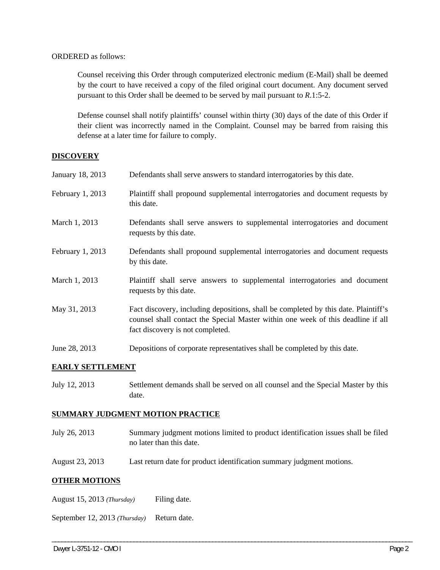#### ORDERED as follows:

Counsel receiving this Order through computerized electronic medium (E-Mail) shall be deemed by the court to have received a copy of the filed original court document. Any document served pursuant to this Order shall be deemed to be served by mail pursuant to *R*.1:5-2.

Defense counsel shall notify plaintiffs' counsel within thirty (30) days of the date of this Order if their client was incorrectly named in the Complaint. Counsel may be barred from raising this defense at a later time for failure to comply.

### **DISCOVERY**

| January 18, 2013 | Defendants shall serve answers to standard interrogatories by this date.                                                                                                                                    |
|------------------|-------------------------------------------------------------------------------------------------------------------------------------------------------------------------------------------------------------|
| February 1, 2013 | Plaintiff shall propound supplemental interrogatories and document requests by<br>this date.                                                                                                                |
| March 1, 2013    | Defendants shall serve answers to supplemental interrogatories and document<br>requests by this date.                                                                                                       |
| February 1, 2013 | Defendants shall propound supplemental interrogatories and document requests<br>by this date.                                                                                                               |
| March 1, 2013    | Plaintiff shall serve answers to supplemental interrogatories and document<br>requests by this date.                                                                                                        |
| May 31, 2013     | Fact discovery, including depositions, shall be completed by this date. Plaintiff's<br>counsel shall contact the Special Master within one week of this deadline if all<br>fact discovery is not completed. |
| June 28, 2013    | Depositions of corporate representatives shall be completed by this date.                                                                                                                                   |

#### **EARLY SETTLEMENT**

July 12, 2013 Settlement demands shall be served on all counsel and the Special Master by this date.

#### **SUMMARY JUDGMENT MOTION PRACTICE**

July 26, 2013 Summary judgment motions limited to product identification issues shall be filed no later than this date.

\_\_\_\_\_\_\_\_\_\_\_\_\_\_\_\_\_\_\_\_\_\_\_\_\_\_\_\_\_\_\_\_\_\_\_\_\_\_\_\_\_\_\_\_\_\_\_\_\_\_\_\_\_\_\_\_\_\_\_\_\_\_\_\_\_\_\_\_\_\_\_\_\_\_\_\_\_\_\_\_\_\_\_\_\_\_\_\_\_\_\_\_\_\_\_\_\_\_\_\_\_\_\_\_\_\_\_\_\_\_

August 23, 2013 Last return date for product identification summary judgment motions.

# **OTHER MOTIONS**

August 15, 2013 *(Thursday)* Filing date.

September 12, 2013 *(Thursday)* Return date.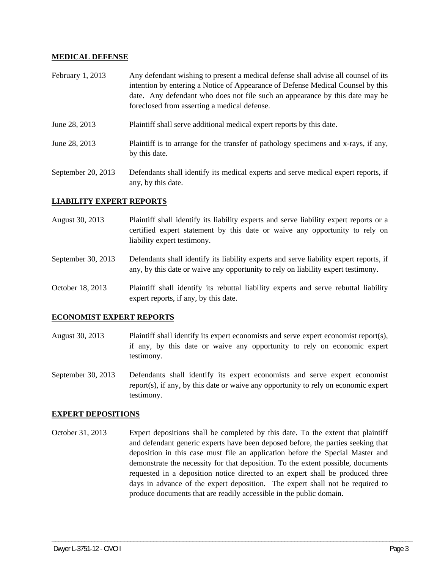#### **MEDICAL DEFENSE**

| February 1, 2013   | Any defendant wishing to present a medical defense shall advise all counsel of its<br>intention by entering a Notice of Appearance of Defense Medical Counsel by this<br>date. Any defendant who does not file such an appearance by this date may be<br>foreclosed from asserting a medical defense. |
|--------------------|-------------------------------------------------------------------------------------------------------------------------------------------------------------------------------------------------------------------------------------------------------------------------------------------------------|
| June 28, 2013      | Plaintiff shall serve additional medical expert reports by this date.                                                                                                                                                                                                                                 |
| June 28, 2013      | Plaintiff is to arrange for the transfer of pathology specimens and x-rays, if any,<br>by this date.                                                                                                                                                                                                  |
| September 20, 2013 | Defendants shall identify its medical experts and serve medical expert reports, if                                                                                                                                                                                                                    |

# **LIABILITY EXPERT REPORTS**

any, by this date.

- August 30, 2013 Plaintiff shall identify its liability experts and serve liability expert reports or a certified expert statement by this date or waive any opportunity to rely on liability expert testimony.
- September 30, 2013 Defendants shall identify its liability experts and serve liability expert reports, if any, by this date or waive any opportunity to rely on liability expert testimony.
- October 18, 2013 Plaintiff shall identify its rebuttal liability experts and serve rebuttal liability expert reports, if any, by this date.

#### **ECONOMIST EXPERT REPORTS**

- August 30, 2013 Plaintiff shall identify its expert economists and serve expert economist report(s), if any, by this date or waive any opportunity to rely on economic expert testimony.
- September 30, 2013 Defendants shall identify its expert economists and serve expert economist report(s), if any, by this date or waive any opportunity to rely on economic expert testimony.

#### **EXPERT DEPOSITIONS**

October 31, 2013 Expert depositions shall be completed by this date. To the extent that plaintiff and defendant generic experts have been deposed before, the parties seeking that deposition in this case must file an application before the Special Master and demonstrate the necessity for that deposition. To the extent possible, documents requested in a deposition notice directed to an expert shall be produced three days in advance of the expert deposition. The expert shall not be required to produce documents that are readily accessible in the public domain.

\_\_\_\_\_\_\_\_\_\_\_\_\_\_\_\_\_\_\_\_\_\_\_\_\_\_\_\_\_\_\_\_\_\_\_\_\_\_\_\_\_\_\_\_\_\_\_\_\_\_\_\_\_\_\_\_\_\_\_\_\_\_\_\_\_\_\_\_\_\_\_\_\_\_\_\_\_\_\_\_\_\_\_\_\_\_\_\_\_\_\_\_\_\_\_\_\_\_\_\_\_\_\_\_\_\_\_\_\_\_